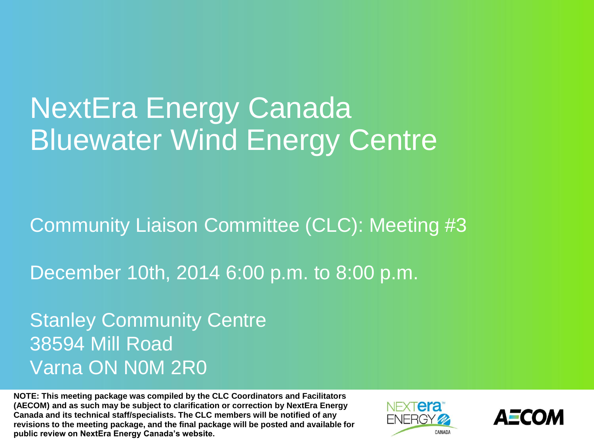# NextEra Energy Canada Bluewater Wind Energy Centre

Community Liaison Committee (CLC): Meeting #3

December 10th, 2014 6:00 p.m. to 8:00 p.m.

Stanley Community Centre 38594 Mill Road Varna ON N0M 2R0

**NOTE: This meeting package was compiled by the CLC Coordinators and Facilitators (AECOM) and as such may be subject to clarification or correction by NextEra Energy Canada and its technical staff/specialists. The CLC members will be notified of any revisions to the meeting package, and the final package will be posted and available for public review on NextEra Energy Canada's website.**



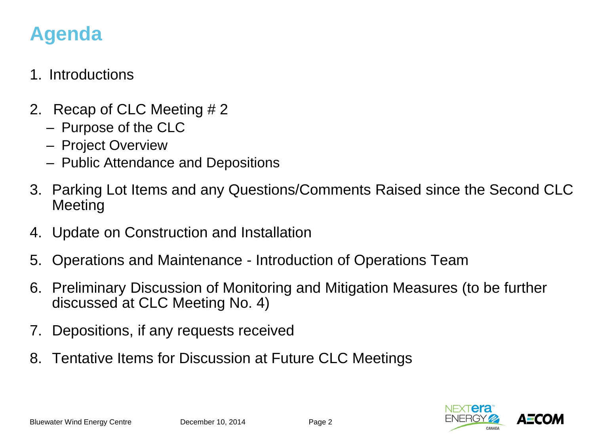### **Agenda**

#### 1. Introductions

- 2. Recap of CLC Meeting # 2
	- Purpose of the CLC
	- Project Overview
	- Public Attendance and Depositions
- 3. Parking Lot Items and any Questions/Comments Raised since the Second CLC Meeting
- 4. Update on Construction and Installation
- 5. Operations and Maintenance Introduction of Operations Team
- 6. Preliminary Discussion of Monitoring and Mitigation Measures (to be further discussed at CLC Meeting No. 4)
- 7. Depositions, if any requests received
- 8. Tentative Items for Discussion at Future CLC Meetings

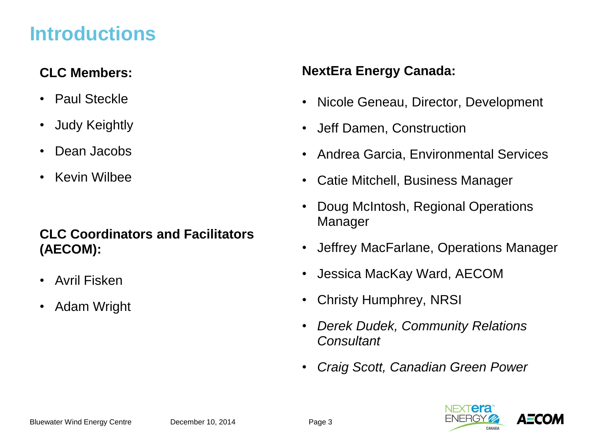### **Introductions**

#### **CLC Members:**

- Paul Steckle
- Judy Keightly
- Dean Jacobs
- Kevin Wilbee

#### **CLC Coordinators and Facilitators (AECOM):**

- Avril Fisken
- Adam Wright

#### **NextEra Energy Canada:**

- Nicole Geneau, Director, Development
- Jeff Damen, Construction
- Andrea Garcia, Environmental Services
- Catie Mitchell, Business Manager
- Doug McIntosh, Regional Operations Manager
- Jeffrey MacFarlane, Operations Manager
- Jessica MacKay Ward, AECOM
- Christy Humphrey, NRSI
- *Derek Dudek, Community Relations Consultant*
- *Craig Scott, Canadian Green Power*

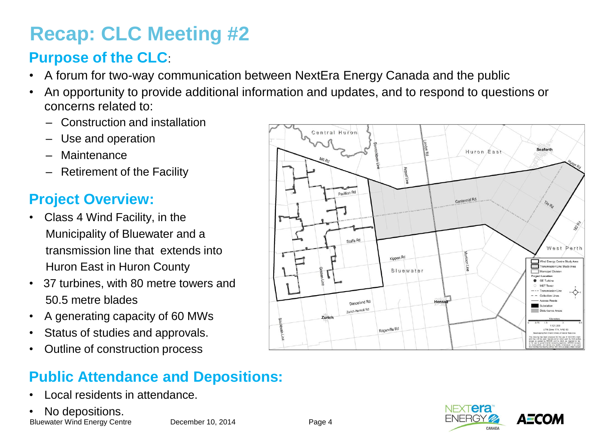### **Recap: CLC Meeting #2**

### **Purpose of the CLC**:

- A forum for two-way communication between NextEra Energy Canada and the public
- An opportunity to provide additional information and updates, and to respond to questions or concerns related to:
	- Construction and installation
	- Use and operation
	- Maintenance
	- Retirement of the Facility

#### **Project Overview:**

- Class 4 Wind Facility, in the Municipality of Bluewater and a transmission line that extends into Huron East in Huron County
- 37 turbines, with 80 metre towers and 50.5 metre blades
- A generating capacity of 60 MWs
- Status of studies and approvals.
- Outline of construction process

#### Central Huron Seaforth Huron East Airport Lin Pavillion Rd Centennial Rd Staffa Rd Perth Kippen Rd Wind Energy Centre Study Area ransmission Line Study Area Bluewater Municipal Division Project Location GE Turbine MET Tower Collection Lines Danceland Rd Hens: Zurich-Hensall Rd Zurich 1:121.000 Rogerville Rd UTM Zone 17N, NAD 83

### **Public Attendance and Depositions:**

- Local residents in attendance.
- No depositions.

Bluewater Wind Energy Centre December 10, 2014 Page 4



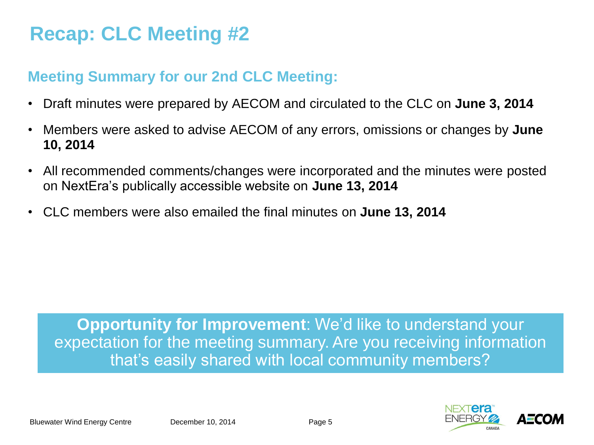### **Recap: CLC Meeting #2**

#### **Meeting Summary for our 2nd CLC Meeting:**

- Draft minutes were prepared by AECOM and circulated to the CLC on **June 3, 2014**
- Members were asked to advise AECOM of any errors, omissions or changes by **June 10, 2014**
- All recommended comments/changes were incorporated and the minutes were posted on NextEra's publically accessible website on **June 13, 2014**
- CLC members were also emailed the final minutes on **June 13, 2014**

**Opportunity for Improvement**: We'd like to understand your expectation for the meeting summary. Are you receiving information that's easily shared with local community members?

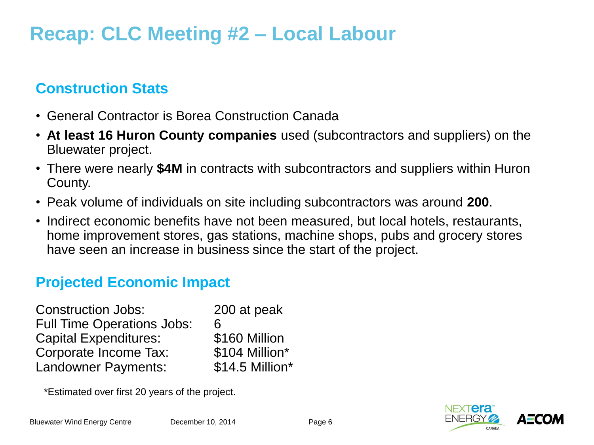### **Recap: CLC Meeting #2 – Local Labour**

#### **Construction Stats**

- General Contractor is Borea Construction Canada
- **At least 16 Huron County companies** used (subcontractors and suppliers) on the Bluewater project.
- There were nearly **\$4M** in contracts with subcontractors and suppliers within Huron County.
- Peak volume of individuals on site including subcontractors was around **200**.
- Indirect economic benefits have not been measured, but local hotels, restaurants, home improvement stores, gas stations, machine shops, pubs and grocery stores have seen an increase in business since the start of the project.

#### **Projected Economic Impact**

| <b>Construction Jobs:</b>         | 200 at peak     |
|-----------------------------------|-----------------|
| <b>Full Time Operations Jobs:</b> | 6               |
| <b>Capital Expenditures:</b>      | \$160 Million   |
| <b>Corporate Income Tax:</b>      | \$104 Million*  |
| <b>Landowner Payments:</b>        | \$14.5 Million* |

\*Estimated over first 20 years of the project.

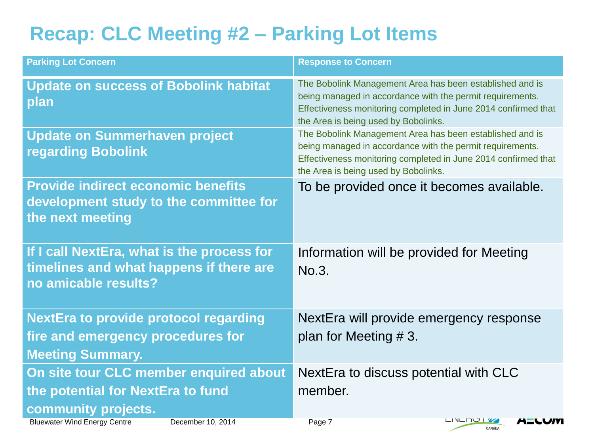## **Recap: CLC Meeting #2 – Parking Lot Items**

| <b>Parking Lot Concern</b>                                                                                                                                     | <b>Response to Concern</b>                                                                                                                                                                                                      |
|----------------------------------------------------------------------------------------------------------------------------------------------------------------|---------------------------------------------------------------------------------------------------------------------------------------------------------------------------------------------------------------------------------|
| <b>Update on success of Bobolink habitat</b><br>plan                                                                                                           | The Bobolink Management Area has been established and is<br>being managed in accordance with the permit requirements.<br>Effectiveness monitoring completed in June 2014 confirmed that<br>the Area is being used by Bobolinks. |
| <b>Update on Summerhaven project</b><br><b>regarding Bobolink</b>                                                                                              | The Bobolink Management Area has been established and is<br>being managed in accordance with the permit requirements.<br>Effectiveness monitoring completed in June 2014 confirmed that<br>the Area is being used by Bobolinks. |
| <b>Provide indirect economic benefits</b><br>development study to the committee for<br>the next meeting                                                        | To be provided once it becomes available.                                                                                                                                                                                       |
| If I call NextEra, what is the process for<br>timelines and what happens if there are<br>no amicable results?                                                  | Information will be provided for Meeting<br>No.3.                                                                                                                                                                               |
| <b>NextEra to provide protocol regarding</b><br>fire and emergency procedures for<br><b>Meeting Summary.</b>                                                   | NextEra will provide emergency response<br>plan for Meeting $# 3$ .                                                                                                                                                             |
| On site tour CLC member enquired about<br>the potential for NextEra to fund<br>community projects.<br><b>Bluewater Wind Energy Centre</b><br>December 10, 2014 | NextEra to discuss potential with CLC<br>member.<br>Page 7<br>LINLINUI <b>W</b><br>1-LUIV                                                                                                                                       |
|                                                                                                                                                                | CANADA                                                                                                                                                                                                                          |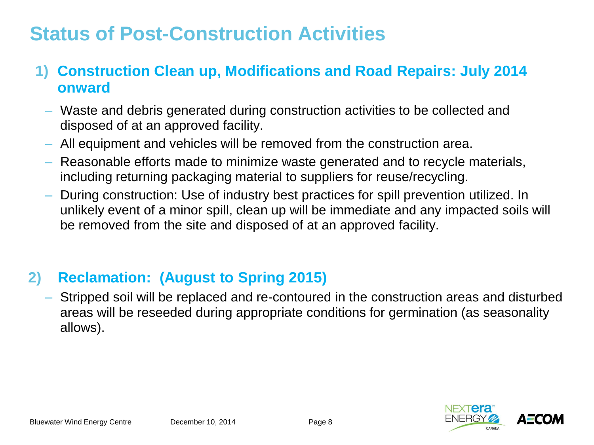### **Status of Post-Construction Activities**

#### **1) Construction Clean up, Modifications and Road Repairs: July 2014 onward**

- Waste and debris generated during construction activities to be collected and disposed of at an approved facility.
- All equipment and vehicles will be removed from the construction area.
- Reasonable efforts made to minimize waste generated and to recycle materials, including returning packaging material to suppliers for reuse/recycling.
- During construction: Use of industry best practices for spill prevention utilized. In unlikely event of a minor spill, clean up will be immediate and any impacted soils will be removed from the site and disposed of at an approved facility.

#### **2) Reclamation: (August to Spring 2015)**

– Stripped soil will be replaced and re-contoured in the construction areas and disturbed areas will be reseeded during appropriate conditions for germination (as seasonality allows).

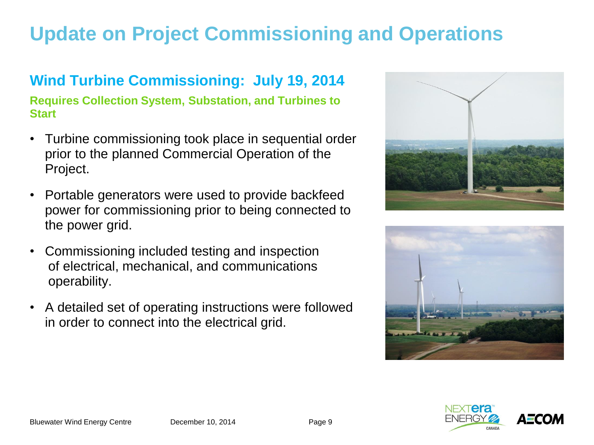### **Update on Project Commissioning and Operations**

### **Wind Turbine Commissioning: July 19, 2014**

**Requires Collection System, Substation, and Turbines to Start**

- Turbine commissioning took place in sequential order prior to the planned Commercial Operation of the Project.
- Portable generators were used to provide backfeed power for commissioning prior to being connected to the power grid.
- Commissioning included testing and inspection of electrical, mechanical, and communications operability.
- A detailed set of operating instructions were followed in order to connect into the electrical grid.





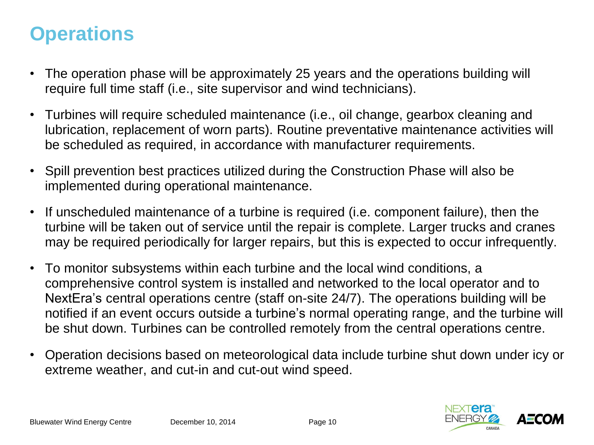### **Operations**

- The operation phase will be approximately 25 years and the operations building will require full time staff (i.e., site supervisor and wind technicians).
- Turbines will require scheduled maintenance (i.e., oil change, gearbox cleaning and lubrication, replacement of worn parts). Routine preventative maintenance activities will be scheduled as required, in accordance with manufacturer requirements.
- Spill prevention best practices utilized during the Construction Phase will also be implemented during operational maintenance.
- If unscheduled maintenance of a turbine is required (i.e. component failure), then the turbine will be taken out of service until the repair is complete. Larger trucks and cranes may be required periodically for larger repairs, but this is expected to occur infrequently.
- To monitor subsystems within each turbine and the local wind conditions, a comprehensive control system is installed and networked to the local operator and to NextEra's central operations centre (staff on-site 24/7). The operations building will be notified if an event occurs outside a turbine's normal operating range, and the turbine will be shut down. Turbines can be controlled remotely from the central operations centre.
- Operation decisions based on meteorological data include turbine shut down under icy or extreme weather, and cut-in and cut-out wind speed.

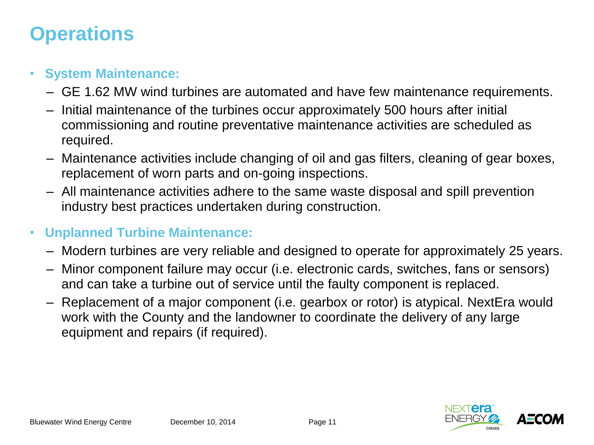### **Operations**

#### • **System Maintenance:**

- GE 1.62 MW wind turbines are automated and have few maintenance requirements.
- Initial maintenance of the turbines occur approximately 500 hours after initial commissioning and routine preventative maintenance activities are scheduled as required.
- Maintenance activities include changing of oil and gas filters, cleaning of gear boxes, replacement of worn parts and on-going inspections.
- All maintenance activities adhere to the same waste disposal and spill prevention industry best practices undertaken during construction.
- **Unplanned Turbine Maintenance:**
	- Modern turbines are very reliable and designed to operate for approximately 25 years.
	- Minor component failure may occur (i.e. electronic cards, switches, fans or sensors) and can take a turbine out of service until the faulty component is replaced.
	- Replacement of a major component (i.e. gearbox or rotor) is atypical. NextEra would work with the County and the landowner to coordinate the delivery of any large equipment and repairs (if required).

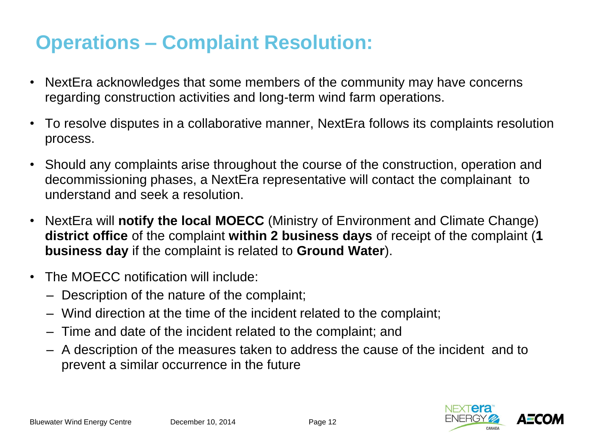### **Operations – Complaint Resolution:**

- NextEra acknowledges that some members of the community may have concerns regarding construction activities and long-term wind farm operations.
- To resolve disputes in a collaborative manner, NextEra follows its complaints resolution process.
- Should any complaints arise throughout the course of the construction, operation and decommissioning phases, a NextEra representative will contact the complainant to understand and seek a resolution.
- NextEra will **notify the local MOECC** (Ministry of Environment and Climate Change) **district office** of the complaint **within 2 business days** of receipt of the complaint (**1 business day** if the complaint is related to **Ground Water**).
- The MOECC notification will include:
	- Description of the nature of the complaint;
	- Wind direction at the time of the incident related to the complaint;
	- Time and date of the incident related to the complaint; and
	- A description of the measures taken to address the cause of the incident and to prevent a similar occurrence in the future

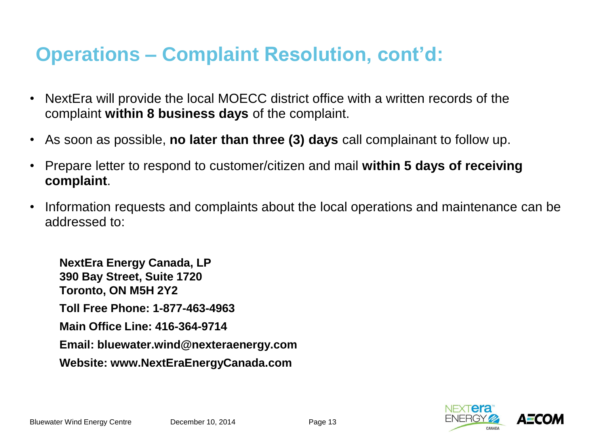### **Operations – Complaint Resolution, cont'd:**

- NextEra will provide the local MOECC district office with a written records of the complaint **within 8 business days** of the complaint.
- As soon as possible, **no later than three (3) days** call complainant to follow up.
- Prepare letter to respond to customer/citizen and mail **within 5 days of receiving complaint**.
- Information requests and complaints about the local operations and maintenance can be addressed to:

**NextEra Energy Canada, LP 390 Bay Street, Suite 1720 Toronto, ON M5H 2Y2 Toll Free Phone: 1-877-463-4963 Main Office Line: 416-364-9714 Email: bluewater.wind@nexteraenergy.com Website: www.NextEraEnergyCanada.com**

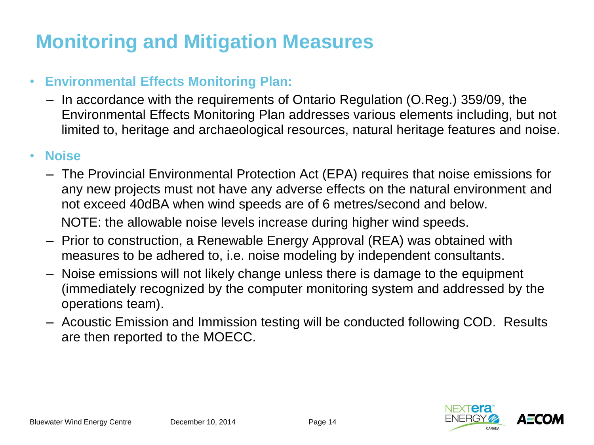#### • **Environmental Effects Monitoring Plan:**

– In accordance with the requirements of Ontario Regulation (O.Reg.) 359/09, the Environmental Effects Monitoring Plan addresses various elements including, but not limited to, heritage and archaeological resources, natural heritage features and noise.

#### • **Noise**

- The Provincial Environmental Protection Act (EPA) requires that noise emissions for any new projects must not have any adverse effects on the natural environment and not exceed 40dBA when wind speeds are of 6 metres/second and below. NOTE: the allowable noise levels increase during higher wind speeds.
- Prior to construction, a Renewable Energy Approval (REA) was obtained with measures to be adhered to, i.e. noise modeling by independent consultants.
- Noise emissions will not likely change unless there is damage to the equipment (immediately recognized by the computer monitoring system and addressed by the operations team).
- Acoustic Emission and Immission testing will be conducted following COD. Results are then reported to the MOECC.

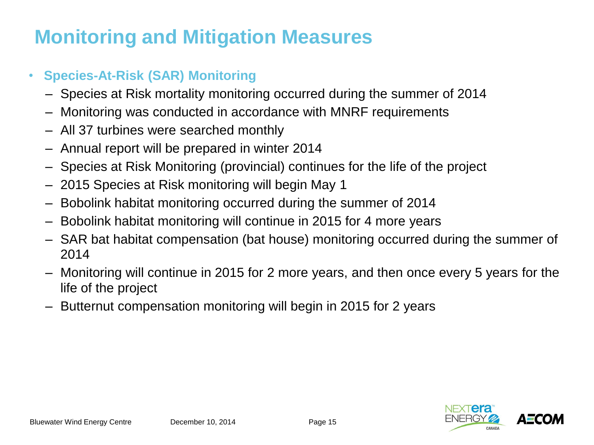#### • **Species-At-Risk (SAR) Monitoring**

- Species at Risk mortality monitoring occurred during the summer of 2014
- Monitoring was conducted in accordance with MNRF requirements
- All 37 turbines were searched monthly
- Annual report will be prepared in winter 2014
- Species at Risk Monitoring (provincial) continues for the life of the project
- 2015 Species at Risk monitoring will begin May 1
- Bobolink habitat monitoring occurred during the summer of 2014
- Bobolink habitat monitoring will continue in 2015 for 4 more years
- SAR bat habitat compensation (bat house) monitoring occurred during the summer of 2014
- Monitoring will continue in 2015 for 2 more years, and then once every 5 years for the life of the project
- Butternut compensation monitoring will begin in 2015 for 2 years

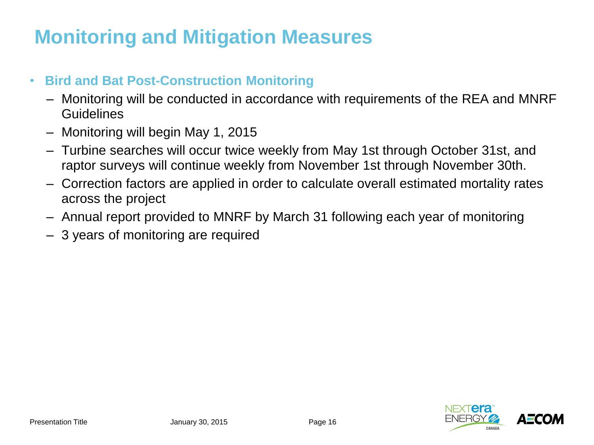#### • **Bird and Bat Post-Construction Monitoring**

- Monitoring will be conducted in accordance with requirements of the REA and MNRF **Guidelines**
- Monitoring will begin May 1, 2015
- Turbine searches will occur twice weekly from May 1st through October 31st, and raptor surveys will continue weekly from November 1st through November 30th.
- Correction factors are applied in order to calculate overall estimated mortality rates across the project
- Annual report provided to MNRF by March 31 following each year of monitoring
- 3 years of monitoring are required

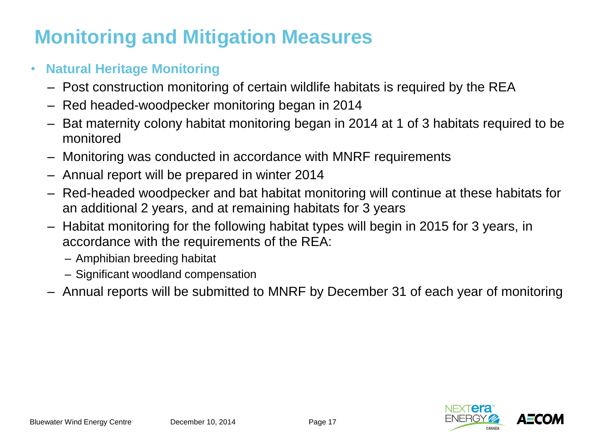#### • **Natural Heritage Monitoring**

- Post construction monitoring of certain wildlife habitats is required by the REA
- Red headed-woodpecker monitoring began in 2014
- Bat maternity colony habitat monitoring began in 2014 at 1 of 3 habitats required to be monitored
- Monitoring was conducted in accordance with MNRF requirements
- Annual report will be prepared in winter 2014
- Red-headed woodpecker and bat habitat monitoring will continue at these habitats for an additional 2 years, and at remaining habitats for 3 years
- Habitat monitoring for the following habitat types will begin in 2015 for 3 years, in accordance with the requirements of the REA:
	- Amphibian breeding habitat
	- Significant woodland compensation
- Annual reports will be submitted to MNRF by December 31 of each year of monitoring

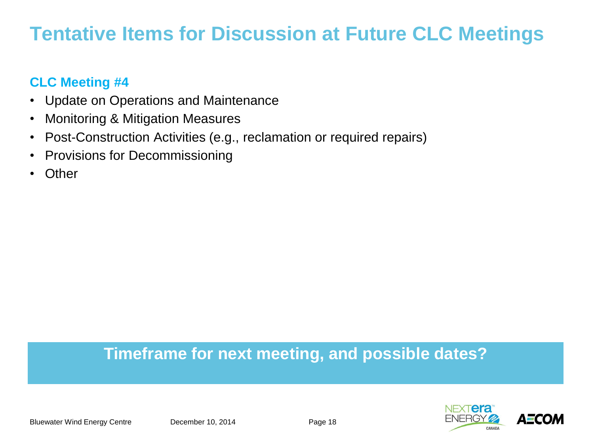### **Tentative Items for Discussion at Future CLC Meetings**

#### **CLC Meeting #4**

- Update on Operations and Maintenance
- Monitoring & Mitigation Measures
- Post-Construction Activities (e.g., reclamation or required repairs)
- Provisions for Decommissioning
- Other

### **Timeframe for next meeting, and possible dates?**

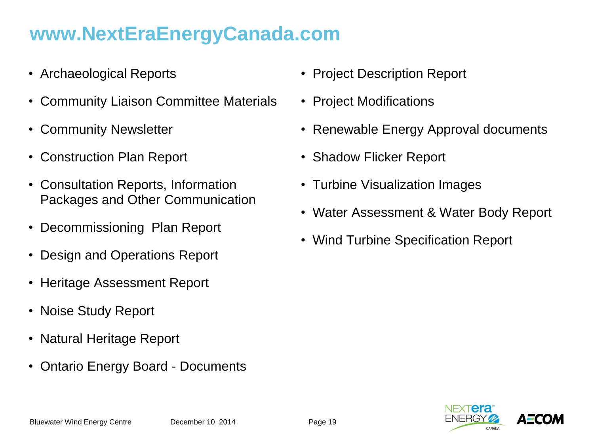### **www.NextEraEnergyCanada.com**

- Archaeological Reports
- Community Liaison Committee Materials
- Community Newsletter
- Construction Plan Report
- Consultation Reports, Information Packages and Other Communication
- Decommissioning Plan Report
- Design and Operations Report
- Heritage Assessment Report
- Noise Study Report
- Natural Heritage Report
- Ontario Energy Board Documents
- Project Description Report
- Project Modifications
- Renewable Energy Approval documents
- Shadow Flicker Report
- Turbine Visualization Images
- Water Assessment & Water Body Report
- Wind Turbine Specification Report